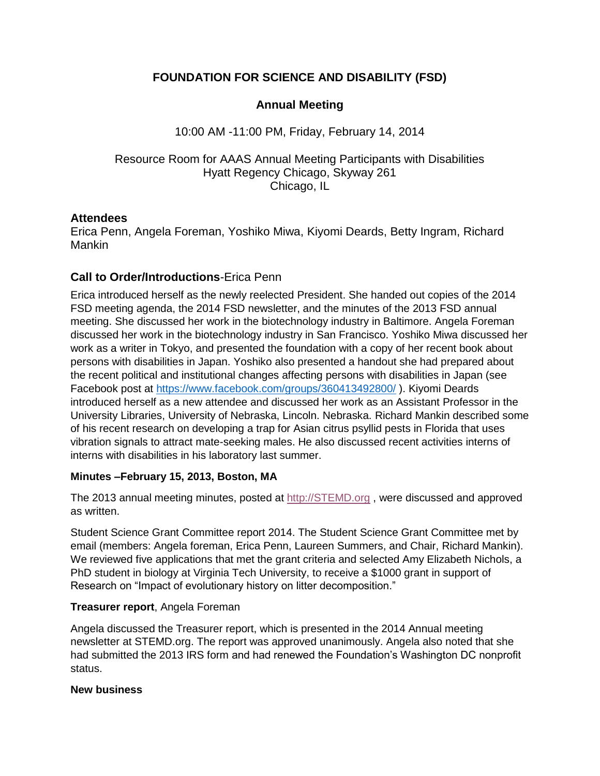# **FOUNDATION FOR SCIENCE AND DISABILITY (FSD)**

# **Annual Meeting**

## 10:00 AM -11:00 PM, Friday, February 14, 2014

## Resource Room for AAAS Annual Meeting Participants with Disabilities Hyatt Regency Chicago, Skyway 261 Chicago, IL

### **Attendees**

Erica Penn, Angela Foreman, Yoshiko Miwa, Kiyomi Deards, Betty Ingram, Richard Mankin

# **Call to Order/Introductions**-Erica Penn

Erica introduced herself as the newly reelected President. She handed out copies of the 2014 FSD meeting agenda, the 2014 FSD newsletter, and the minutes of the 2013 FSD annual meeting. She discussed her work in the biotechnology industry in Baltimore. Angela Foreman discussed her work in the biotechnology industry in San Francisco. Yoshiko Miwa discussed her work as a writer in Tokyo, and presented the foundation with a copy of her recent book about persons with disabilities in Japan. Yoshiko also presented a handout she had prepared about the recent political and institutional changes affecting persons with disabilities in Japan (see Facebook post at<https://www.facebook.com/groups/360413492800/> ). Kiyomi Deards introduced herself as a new attendee and discussed her work as an Assistant Professor in the University Libraries, University of Nebraska, Lincoln. Nebraska. Richard Mankin described some of his recent research on developing a trap for Asian citrus psyllid pests in Florida that uses vibration signals to attract mate-seeking males. He also discussed recent activities interns of interns with disabilities in his laboratory last summer.

#### **Minutes –February 15, 2013, Boston, MA**

The 2013 annual meeting minutes, posted at [http://STEMD.org](http://stemd.org/), were discussed and approved as written.

Student Science Grant Committee report 2014. The Student Science Grant Committee met by email (members: Angela foreman, Erica Penn, Laureen Summers, and Chair, Richard Mankin). We reviewed five applications that met the grant criteria and selected Amy Elizabeth Nichols, a PhD student in biology at Virginia Tech University, to receive a \$1000 grant in support of Research on "Impact of evolutionary history on litter decomposition."

#### **Treasurer report**, Angela Foreman

Angela discussed the Treasurer report, which is presented in the 2014 Annual meeting newsletter at STEMD.org. The report was approved unanimously. Angela also noted that she had submitted the 2013 IRS form and had renewed the Foundation's Washington DC nonprofit status.

#### **New business**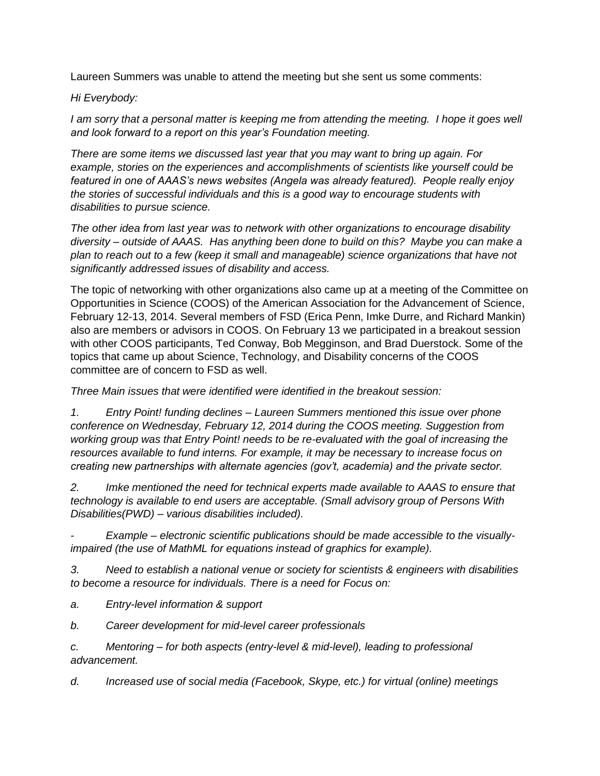Laureen Summers was unable to attend the meeting but she sent us some comments:

### *Hi Everybody:*

*I am sorry that a personal matter is keeping me from attending the meeting. I hope it goes well and look forward to a report on this year's Foundation meeting.*

*There are some items we discussed last year that you may want to bring up again. For example, stories on the experiences and accomplishments of scientists like yourself could be featured in one of AAAS's news websites (Angela was already featured). People really enjoy the stories of successful individuals and this is a good way to encourage students with disabilities to pursue science.*

*The other idea from last year was to network with other organizations to encourage disability diversity – outside of AAAS. Has anything been done to build on this? Maybe you can make a plan to reach out to a few (keep it small and manageable) science organizations that have not significantly addressed issues of disability and access.*

The topic of networking with other organizations also came up at a meeting of the Committee on Opportunities in Science (COOS) of the American Association for the Advancement of Science, February 12-13, 2014. Several members of FSD (Erica Penn, Imke Durre, and Richard Mankin) also are members or advisors in COOS. On February 13 we participated in a breakout session with other COOS participants, Ted Conway, Bob Megginson, and Brad Duerstock. Some of the topics that came up about Science, Technology, and Disability concerns of the COOS committee are of concern to FSD as well.

*Three Main issues that were identified were identified in the breakout session:*

*1. Entry Point! funding declines – Laureen Summers mentioned this issue over phone conference on Wednesday, February 12, 2014 during the COOS meeting. Suggestion from working group was that Entry Point! needs to be re-evaluated with the goal of increasing the resources available to fund interns. For example, it may be necessary to increase focus on creating new partnerships with alternate agencies (gov't, academia) and the private sector.*

*2. Imke mentioned the need for technical experts made available to AAAS to ensure that technology is available to end users are acceptable. (Small advisory group of Persons With Disabilities(PWD) – various disabilities included).*

*- Example – electronic scientific publications should be made accessible to the visuallyimpaired (the use of MathML for equations instead of graphics for example).*

*3. Need to establish a national venue or society for scientists & engineers with disabilities to become a resource for individuals. There is a need for Focus on:*

- *a. Entry-level information & support*
- *b. Career development for mid-level career professionals*

*c. Mentoring – for both aspects (entry-level & mid-level), leading to professional advancement.*

*d. Increased use of social media (Facebook, Skype, etc.) for virtual (online) meetings*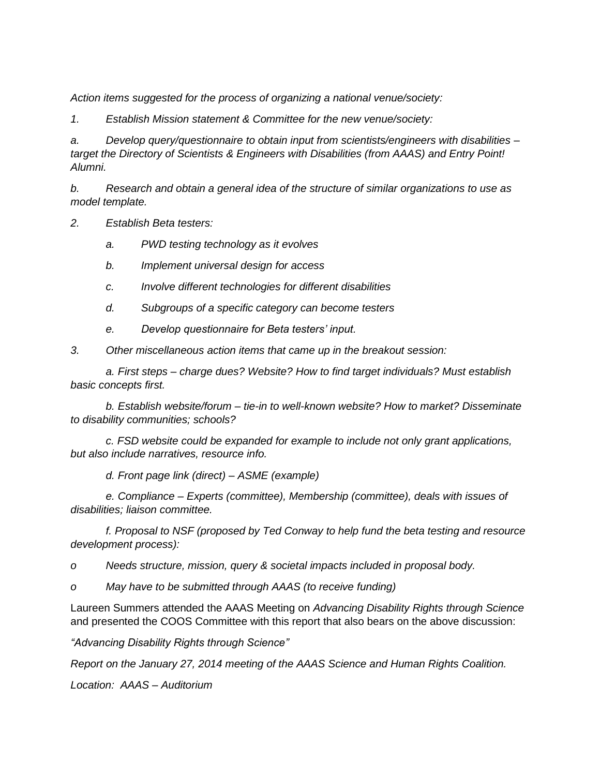*Action items suggested for the process of organizing a national venue/society:*

*1. Establish Mission statement & Committee for the new venue/society:*

*a. Develop query/questionnaire to obtain input from scientists/engineers with disabilities – target the Directory of Scientists & Engineers with Disabilities (from AAAS) and Entry Point! Alumni.*

*b. Research and obtain a general idea of the structure of similar organizations to use as model template.*

*2. Establish Beta testers:*

*a. PWD testing technology as it evolves*

*b. Implement universal design for access*

*c. Involve different technologies for different disabilities*

*d. Subgroups of a specific category can become testers*

*e. Develop questionnaire for Beta testers' input.*

*3. Other miscellaneous action items that came up in the breakout session:*

*a. First steps – charge dues? Website? How to find target individuals? Must establish basic concepts first.*

*b. Establish website/forum – tie-in to well-known website? How to market? Disseminate to disability communities; schools?*

*c. FSD website could be expanded for example to include not only grant applications, but also include narratives, resource info.* 

*d. Front page link (direct) – ASME (example)*

*e. Compliance – Experts (committee), Membership (committee), deals with issues of disabilities; liaison committee.*

*f. Proposal to NSF (proposed by Ted Conway to help fund the beta testing and resource development process):*

*o Needs structure, mission, query & societal impacts included in proposal body.*

*o May have to be submitted through AAAS (to receive funding)*

Laureen Summers attended the AAAS Meeting on *Advancing Disability Rights through Science* and presented the COOS Committee with this report that also bears on the above discussion:

*"Advancing Disability Rights through Science"*

*Report on the January 27, 2014 meeting of the AAAS Science and Human Rights Coalition.*

*Location: AAAS – Auditorium*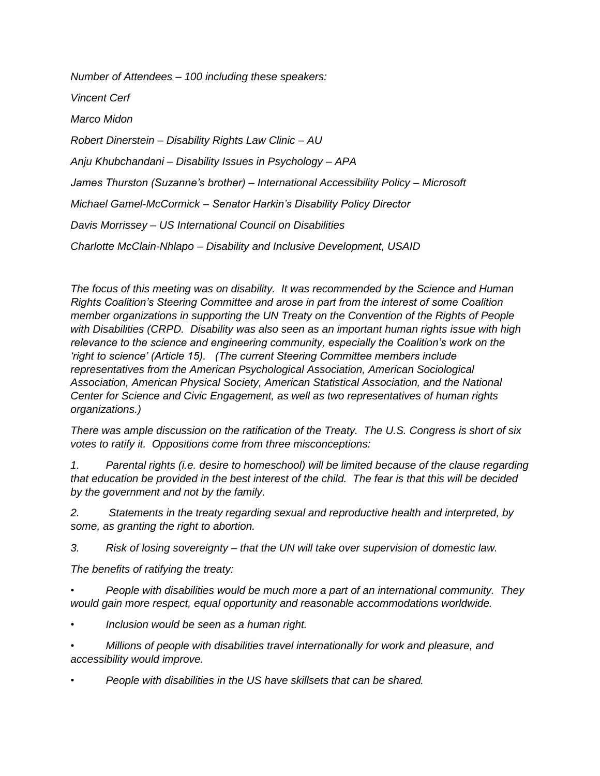*Number of Attendees – 100 including these speakers: Vincent Cerf Marco Midon Robert Dinerstein – Disability Rights Law Clinic – AU Anju Khubchandani – Disability Issues in Psychology – APA James Thurston (Suzanne's brother) – International Accessibility Policy – Microsoft Michael Gamel-McCormick – Senator Harkin's Disability Policy Director Davis Morrissey – US International Council on Disabilities Charlotte McClain-Nhlapo – Disability and Inclusive Development, USAID*

*The focus of this meeting was on disability. It was recommended by the Science and Human Rights Coalition's Steering Committee and arose in part from the interest of some Coalition member organizations in supporting the UN Treaty on the Convention of the Rights of People with Disabilities (CRPD. Disability was also seen as an important human rights issue with high relevance to the science and engineering community, especially the Coalition's work on the 'right to science' (Article 15). (The current Steering Committee members include representatives from the American Psychological Association, American Sociological Association, American Physical Society, American Statistical Association, and the National Center for Science and Civic Engagement, as well as two representatives of human rights organizations.)*

*There was ample discussion on the ratification of the Treaty. The U.S. Congress is short of six votes to ratify it. Oppositions come from three misconceptions:*

*1. Parental rights (i.e. desire to homeschool) will be limited because of the clause regarding that education be provided in the best interest of the child. The fear is that this will be decided by the government and not by the family.* 

*2. Statements in the treaty regarding sexual and reproductive health and interpreted, by some, as granting the right to abortion.*

*3. Risk of losing sovereignty – that the UN will take over supervision of domestic law.*

*The benefits of ratifying the treaty:*

*• People with disabilities would be much more a part of an international community. They would gain more respect, equal opportunity and reasonable accommodations worldwide.* 

*• Inclusion would be seen as a human right.*

*• Millions of people with disabilities travel internationally for work and pleasure, and accessibility would improve.*

*• People with disabilities in the US have skillsets that can be shared.*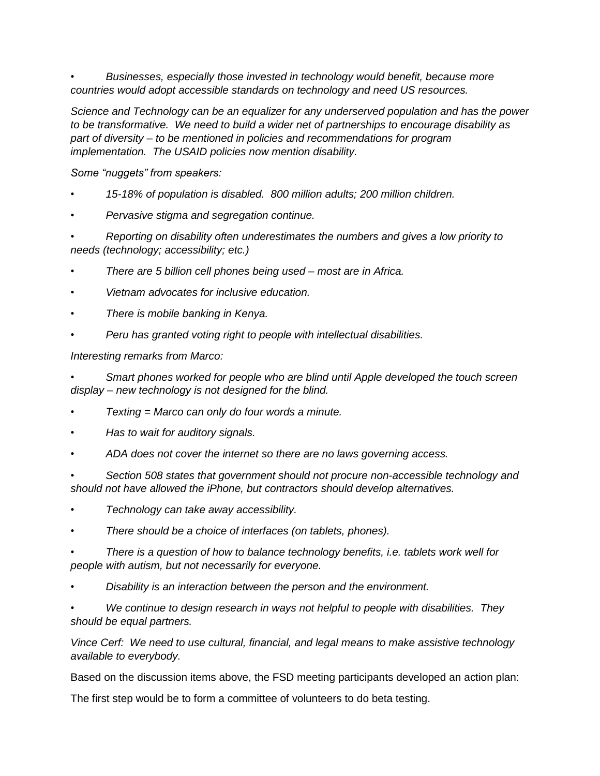*• Businesses, especially those invested in technology would benefit, because more countries would adopt accessible standards on technology and need US resources.*

*Science and Technology can be an equalizer for any underserved population and has the power to be transformative. We need to build a wider net of partnerships to encourage disability as part of diversity – to be mentioned in policies and recommendations for program implementation. The USAID policies now mention disability.*

*Some "nuggets" from speakers:*

- *• 15-18% of population is disabled. 800 million adults; 200 million children.*
- *• Pervasive stigma and segregation continue.*

*• Reporting on disability often underestimates the numbers and gives a low priority to needs (technology; accessibility; etc.)*

- *• There are 5 billion cell phones being used – most are in Africa.*
- *• Vietnam advocates for inclusive education.*
- *• There is mobile banking in Kenya.*
- *• Peru has granted voting right to people with intellectual disabilities.*

*Interesting remarks from Marco:*

*• Smart phones worked for people who are blind until Apple developed the touch screen display – new technology is not designed for the blind.*

- *• Texting = Marco can only do four words a minute.*
- *• Has to wait for auditory signals.*
- *• ADA does not cover the internet so there are no laws governing access.*

*• Section 508 states that government should not procure non-accessible technology and should not have allowed the iPhone, but contractors should develop alternatives.*

- *• Technology can take away accessibility.*
- *• There should be a choice of interfaces (on tablets, phones).*
- *• There is a question of how to balance technology benefits, i.e. tablets work well for people with autism, but not necessarily for everyone.*
- *• Disability is an interaction between the person and the environment.*
- *• We continue to design research in ways not helpful to people with disabilities. They should be equal partners.*

*Vince Cerf: We need to use cultural, financial, and legal means to make assistive technology available to everybody.*

Based on the discussion items above, the FSD meeting participants developed an action plan:

The first step would be to form a committee of volunteers to do beta testing.